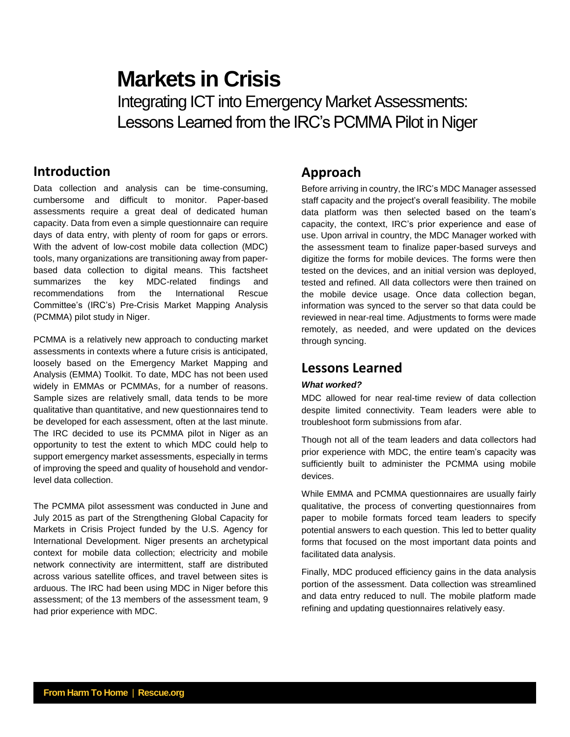# **Markets in Crisis** Integrating ICT into Emergency Market Assessments: Lessons Learned from the IRC's PCMMA Pilot in Niger

# **Introduction**

Data collection and analysis can be time-consuming, cumbersome and difficult to monitor. Paper-based assessments require a great deal of dedicated human capacity. Data from even a simple questionnaire can require days of data entry, with plenty of room for gaps or errors. With the advent of low-cost mobile data collection (MDC) tools, many organizations are transitioning away from paperbased data collection to digital means. This factsheet summarizes the key MDC-related findings and recommendations from the International Rescue Committee's (IRC's) Pre-Crisis Market Mapping Analysis (PCMMA) pilot study in Niger.

PCMMA is a relatively new approach to conducting market assessments in contexts where a future crisis is anticipated, loosely based on the Emergency Market Mapping and Analysis (EMMA) Toolkit. To date, MDC has not been used widely in EMMAs or PCMMAs, for a number of reasons. Sample sizes are relatively small, data tends to be more qualitative than quantitative, and new questionnaires tend to be developed for each assessment, often at the last minute. The IRC decided to use its PCMMA pilot in Niger as an opportunity to test the extent to which MDC could help to support emergency market assessments, especially in terms of improving the speed and quality of household and vendorlevel data collection.

The PCMMA pilot assessment was conducted in June and July 2015 as part of the Strengthening Global Capacity for Markets in Crisis Project funded by the U.S. Agency for International Development. Niger presents an archetypical context for mobile data collection; electricity and mobile network connectivity are intermittent, staff are distributed across various satellite offices, and travel between sites is arduous. The IRC had been using MDC in Niger before this assessment; of the 13 members of the assessment team, 9 had prior experience with MDC.

## **Approach**

Before arriving in country, the IRC's MDC Manager assessed staff capacity and the project's overall feasibility. The mobile data platform was then selected based on the team's capacity, the context, IRC's prior experience and ease of use. Upon arrival in country, the MDC Manager worked with the assessment team to finalize paper-based surveys and digitize the forms for mobile devices. The forms were then tested on the devices, and an initial version was deployed, tested and refined. All data collectors were then trained on the mobile device usage. Once data collection began, information was synced to the server so that data could be reviewed in near-real time. Adjustments to forms were made remotely, as needed, and were updated on the devices through syncing.

### **Lessons Learned**

### *What worked?*

MDC allowed for near real-time review of data collection despite limited connectivity. Team leaders were able to troubleshoot form submissions from afar.

Though not all of the team leaders and data collectors had prior experience with MDC, the entire team's capacity was sufficiently built to administer the PCMMA using mobile devices.

While EMMA and PCMMA questionnaires are usually fairly qualitative, the process of converting questionnaires from paper to mobile formats forced team leaders to specify potential answers to each question. This led to better quality forms that focused on the most important data points and facilitated data analysis.

Finally, MDC produced efficiency gains in the data analysis portion of the assessment. Data collection was streamlined and data entry reduced to null. The mobile platform made refining and updating questionnaires relatively easy.